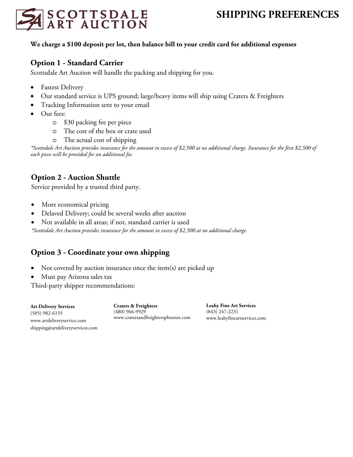

### **We charge a \$100 deposit per lot, then balance bill to your credit card for additional expenses**

# **Option 1 - Standard Carrier**

Scottsdale Art Auction will handle the packing and shipping for you.

- Fastest Delivery
- Our standard service is UPS ground; large/heavy items will ship using Craters & Freighters
- Tracking Information sent to your email
- Our fees:
	- o \$30 packing fee per piece
	- o The cost of the box or crate used
	- o The actual cost of shipping

*\*Scottsdale Art Auction provides insurance for the amount in excess of \$2,500 at no additional charge. Insurance for the first \$2,500 of each piece will be provided for an additional fee.*

# **Option 2 - Auction Shuttle**

Service provided by a trusted third party.

- More economical pricing
- Delaved Delivery; could be several weeks after auction
- Not available in all areas; if not, standard carrier is used

*\*Scottsdale Art Auction provides insurance for the amount in excess of \$2,500 at no additional charge.* 

# **Option 3 - Coordinate your own shipping**

- Not covered by auction insurance once the item(s) are picked up
- Must pay Arizona sales tax

Third-party shipper recommendations:

**Art Delivery Services** (505) 982-6155 www.artdeliveryservice.com shipping@artdeliveryservices.com **Craters & Freighters** (480) 966-9929 www.cratersandfreightersphoenix.com **Leahy Fine Art Services**  (843) 247-2231 www.leahyfineartservices.com